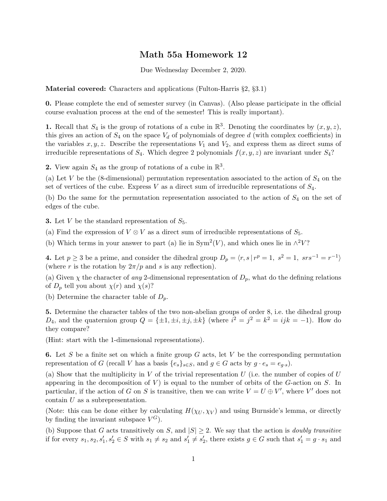## Math 55a Homework 12

Due Wednesday December 2, 2020.

Material covered: Characters and applications (Fulton-Harris §2, §3.1)

0. Please complete the end of semester survey (in Canvas). (Also please participate in the official course evaluation process at the end of the semester! This is really important).

**1.** Recall that  $S_4$  is the group of rotations of a cube in  $\mathbb{R}^3$ . Denoting the coordinates by  $(x, y, z)$ , this gives an action of  $S_4$  on the space  $V_d$  of polynomials of degree d (with complex coefficients) in the variables  $x, y, z$ . Describe the representations  $V_1$  and  $V_2$ , and express them as direct sums of irreducible representations of  $S_4$ . Which degree 2 polynomials  $f(x, y, z)$  are invariant under  $S_4$ ?

2. View again  $S_4$  as the group of rotations of a cube in  $\mathbb{R}^3$ .

(a) Let V be the (8-dimensional) permutation representation associated to the action of  $S_4$  on the set of vertices of the cube. Express  $V$  as a direct sum of irreducible representations of  $S_4$ .

(b) Do the same for the permutation representation associated to the action of  $S_4$  on the set of edges of the cube.

**3.** Let V be the standard representation of  $S_5$ .

(a) Find the expression of  $V \otimes V$  as a direct sum of irreducible representations of  $S_5$ .

(b) Which terms in your answer to part (a) lie in Sym<sup>2</sup>(V), and which ones lie in  $\wedge^2 V$ ?

4. Let  $p \ge 3$  be a prime, and consider the dihedral group  $D_p = \langle r, s | r^p = 1, s^2 = 1, srs^{-1} = r^{-1} \rangle$ (where r is the rotation by  $2\pi/p$  and s is any reflection).

(a) Given  $\chi$  the character of any 2-dimensional representation of  $D_p$ , what do the defining relations of  $D_p$  tell you about  $\chi(r)$  and  $\chi(s)$ ?

(b) Determine the character table of  $D_p$ .

5. Determine the character tables of the two non-abelian groups of order 8, i.e. the dihedral group  $D_4$ , and the quaternion group  $Q = {\pm 1, \pm i, \pm j, \pm k}$  (where  $i^2 = j^2 = k^2 = ijk = -1$ ). How do they compare?

(Hint: start with the 1-dimensional representations).

6. Let S be a finite set on which a finite group G acts, let V be the corresponding permutation representation of G (recall V has a basis  $\{e_s\}_{s\in S}$ , and  $g \in G$  acts by  $g \cdot e_s = e_g$ .

(a) Show that the multiplicity in  $V$  of the trivial representation  $U$  (i.e. the number of copies of  $U$ appearing in the decomposition of  $V$ ) is equal to the number of orbits of the  $G$ -action on  $S$ . In particular, if the action of G on S is transitive, then we can write  $V = U \oplus V'$ , where V' does not contain  $U$  as a subrepresentation.

(Note: this can be done either by calculating  $H(\chi_U, \chi_V)$  and using Burnside's lemma, or directly by finding the invariant subspace  $V^G$ ).

(b) Suppose that G acts transitively on S, and  $|S| \geq 2$ . We say that the action is *doubly transitive* if for every  $s_1, s_2, s'_1, s'_2 \in S$  with  $s_1 \neq s_2$  and  $s'_1 \neq s'_2$ , there exists  $g \in G$  such that  $s'_1 = g \cdot s_1$  and